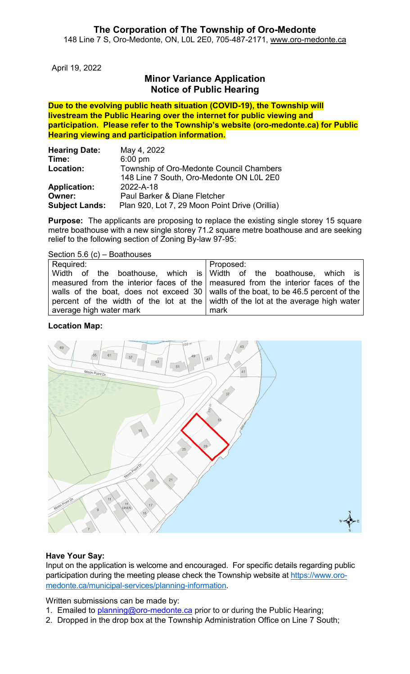# **The Corporation of The Township of Oro-Medonte**

148 Line 7 S, Oro-Medonte, ON, L0L 2E0, 705-487-2171, [www.oro-medonte.ca](http://www.oro-medonte.ca/)

April 19, 2022

## **Minor Variance Application Notice of Public Hearing**

**Due to the evolving public heath situation (COVID-19), the Township will livestream the Public Hearing over the internet for public viewing and participation. Please refer to the Township's website (oro-medonte.ca) for Public Hearing viewing and participation information.**

| <b>Hearing Date:</b>  | May 4, 2022                                    |
|-----------------------|------------------------------------------------|
| Time:                 | $6:00$ pm                                      |
| Location:             | Township of Oro-Medonte Council Chambers       |
|                       | 148 Line 7 South, Oro-Medonte ON L0L 2E0       |
| <b>Application:</b>   | 2022-A-18                                      |
| Owner:                | Paul Barker & Diane Fletcher                   |
| <b>Subject Lands:</b> | Plan 920, Lot 7, 29 Moon Point Drive (Orillia) |

**Purpose:** The applicants are proposing to replace the existing single storey 15 square metre boathouse with a new single storey 71.2 square metre boathouse and are seeking relief to the following section of Zoning By-law 97-95:

|  |  | Section 5.6 $(c)$ – Boathouses |
|--|--|--------------------------------|
|--|--|--------------------------------|

| Required:                                                                            | Proposed:                                                                         |
|--------------------------------------------------------------------------------------|-----------------------------------------------------------------------------------|
|                                                                                      | Width of the boathouse, which is Width of the boathouse, which is                 |
|                                                                                      |                                                                                   |
|                                                                                      | measured from the interior faces of the   measured from the interior faces of the |
| walls of the boat, does not exceed 30   walls of the boat, to be 46.5 percent of the |                                                                                   |
|                                                                                      | percent of the width of the lot at the width of the lot at the average high water |
| average high water mark                                                              | mark                                                                              |

### **Location Map:**



## **Have Your Say:**

Input on the application is welcome and encouraged. For specific details regarding public participation during the meeting please check the Township website at [https://www.oro](https://www.oro-medonte.ca/municipal-services/planning-information)[medonte.ca/municipal-services/planning-information.](https://www.oro-medonte.ca/municipal-services/planning-information)

Written submissions can be made by:

- 1. Emailed to [planning@oro-medonte.ca](mailto:planning@oro-medonte.ca) prior to or during the Public Hearing;
- 2. Dropped in the drop box at the Township Administration Office on Line 7 South;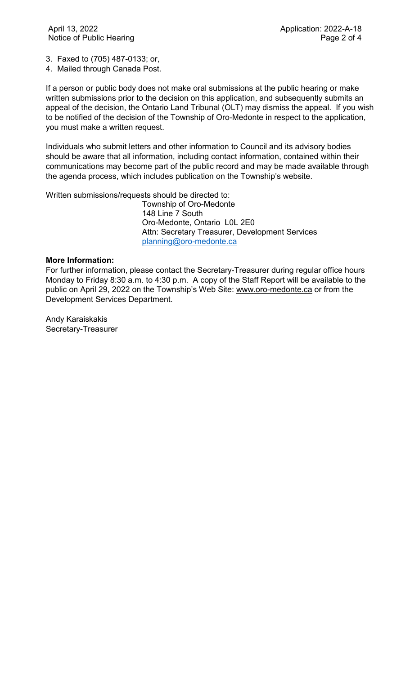3. Faxed to (705) 487-0133; or,

4. Mailed through Canada Post.

If a person or public body does not make oral submissions at the public hearing or make written submissions prior to the decision on this application, and subsequently submits an appeal of the decision, the Ontario Land Tribunal (OLT) may dismiss the appeal. If you wish to be notified of the decision of the Township of Oro-Medonte in respect to the application, you must make a written request.

Individuals who submit letters and other information to Council and its advisory bodies should be aware that all information, including contact information, contained within their communications may become part of the public record and may be made available through the agenda process, which includes publication on the Township's website.

Written submissions/requests should be directed to:

Township of Oro-Medonte 148 Line 7 South Oro-Medonte, Ontario L0L 2E0 Attn: Secretary Treasurer, Development Services [planning@oro-medonte.ca](mailto:planning@oro-medonte.ca)

### **More Information:**

For further information, please contact the Secretary-Treasurer during regular office hours Monday to Friday 8:30 a.m. to 4:30 p.m. A copy of the Staff Report will be available to the public on April 29, 2022 on the Township's Web Site: [www.oro-medonte.ca](http://www.oro-medonte.ca/) or from the Development Services Department.

Andy Karaiskakis Secretary-Treasurer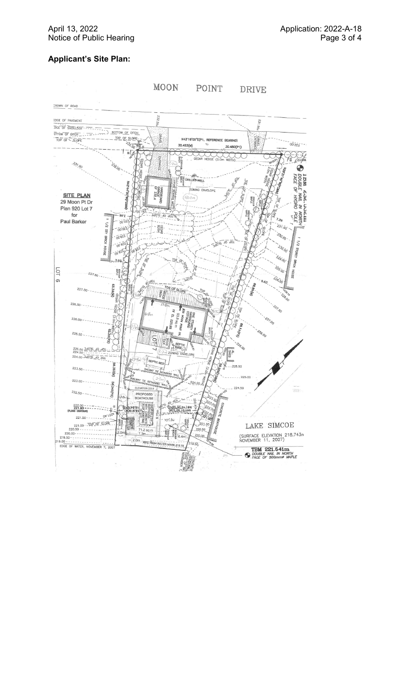## **Applicant 's Site Plan :**